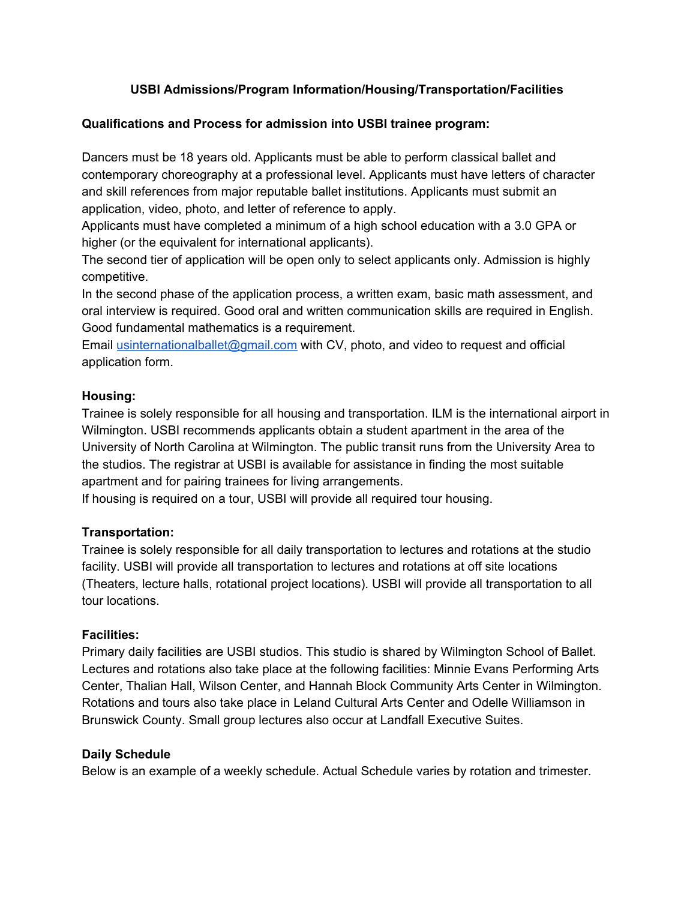# **USBI Admissions/Program Information/Housing/Transportation/Facilities**

#### **Qualifications and Process for admission into USBI trainee program:**

Dancers must be 18 years old. Applicants must be able to perform classical ballet and contemporary choreography at a professional level. Applicants must have letters of character and skill references from major reputable ballet institutions. Applicants must submit an application, video, photo, and letter of reference to apply.

Applicants must have completed a minimum of a high school education with a 3.0 GPA or higher (or the equivalent for international applicants).

The second tier of application will be open only to select applicants only. Admission is highly competitive.

In the second phase of the application process, a written exam, basic math assessment, and oral interview is required. Good oral and written communication skills are required in English. Good fundamental mathematics is a requirement.

Email [usinternationalballet@gmail.com](mailto:usinternationalballet@gmail.com) with CV, photo, and video to request and official application form.

#### **Housing:**

Trainee is solely responsible for all housing and transportation. ILM is the international airport in Wilmington. USBI recommends applicants obtain a student apartment in the area of the University of North Carolina at Wilmington. The public transit runs from the University Area to the studios. The registrar at USBI is available for assistance in finding the most suitable apartment and for pairing trainees for living arrangements.

If housing is required on a tour, USBI will provide all required tour housing.

# **Transportation:**

Trainee is solely responsible for all daily transportation to lectures and rotations at the studio facility. USBI will provide all transportation to lectures and rotations at off site locations (Theaters, lecture halls, rotational project locations). USBI will provide all transportation to all tour locations.

# **Facilities:**

Primary daily facilities are USBI studios. This studio is shared by Wilmington School of Ballet. Lectures and rotations also take place at the following facilities: Minnie Evans Performing Arts Center, Thalian Hall, Wilson Center, and Hannah Block Community Arts Center in Wilmington. Rotations and tours also take place in Leland Cultural Arts Center and Odelle Williamson in Brunswick County. Small group lectures also occur at Landfall Executive Suites.

#### **Daily Schedule**

Below is an example of a weekly schedule. Actual Schedule varies by rotation and trimester.